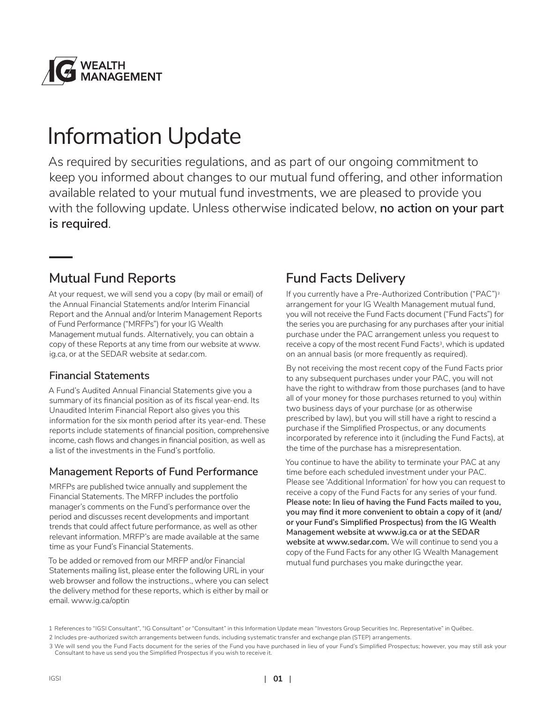

# Information Update

As required by securities regulations, and as part of our ongoing commitment to keep you informed about changes to our mutual fund offering, and other information available related to your mutual fund investments, we are pleased to provide you with the following update. Unless otherwise indicated below, **no action on your part is required**.

### **Mutual Fund Reports**

At your request, we will send you a copy (by mail or email) of the Annual Financial Statements and/or Interim Financial Report and the Annual and/or Interim Management Reports of Fund Performance ("MRFPs") for your IG Wealth Management mutual funds. Alternatively, you can obtain a copy of these Reports at any time from our website at www. ig.ca, or at the SEDAR website at sedar.com.

### **Financial Statements**

A Fund's Audited Annual Financial Statements give you a summary of its financial position as of its fiscal year-end. Its Unaudited Interim Financial Report also gives you this information for the six month period after its year-end. These reports include statements of financial position, comprehensive income, cash flows and changes in financial position, as well as a list of the investments in the Fund's portfolio.

### **Management Reports of Fund Performance**

MRFPs are published twice annually and supplement the Financial Statements. The MRFP includes the portfolio manager's comments on the Fund's performance over the period and discusses recent developments and important trends that could affect future performance, as well as other relevant information. MRFP's are made available at the same time as your Fund's Financial Statements.

To be added or removed from our MRFP and/or Financial Statements mailing list, please enter the following URL in your web browser and follow the instructions., where you can select the delivery method for these reports, which is either by mail or email. www.ig.ca/optin

### **Fund Facts Delivery**

If you currently have a Pre-Authorized Contribution ("PAC")2 arrangement for your IG Wealth Management mutual fund, you will not receive the Fund Facts document ("Fund Facts") for the series you are purchasing for any purchases after your initial purchase under the PAC arrangement unless you request to receive a copy of the most recent Fund Facts<sup>3</sup>, which is updated on an annual basis (or more frequently as required).

By not receiving the most recent copy of the Fund Facts prior to any subsequent purchases under your PAC, you will not have the right to withdraw from those purchases (and to have all of your money for those purchases returned to you) within two business days of your purchase (or as otherwise prescribed by law), but you will still have a right to rescind a purchase if the Simplified Prospectus, or any documents incorporated by reference into it (including the Fund Facts), at the time of the purchase has a misrepresentation.

You continue to have the ability to terminate your PAC at any time before each scheduled investment under your PAC. Please see 'Additional Information' for how you can request to receive a copy of the Fund Facts for any series of your fund. **Please note: In lieu of having the Fund Facts mailed to you, you may find it more convenient to obtain a copy of it (and/ or your Fund's Simplified Prospectus) from the IG Wealth Management website at www.ig.ca or at the SEDAR website at www.sedar.com.** We will continue to send you a copy of the Fund Facts for any other IG Wealth Management mutual fund purchases you make duringcthe year.

<sup>1</sup> References to "IGSI Consultant", "IG Consultant" or "Consultant" in this Information Update mean "Investors Group Securities Inc. Representative" in Québec.

<sup>2</sup> Includes pre-authorized switch arrangements between funds, including systematic transfer and exchange plan (STEP) arrangements.

<sup>3</sup> We will send you the Fund Facts document for the series of the Fund you have purchased in lieu of your Fund's Simplified Prospectus; however, you may still ask your Consultant to have us send you the Simplified Prospectus if you wish to receive it.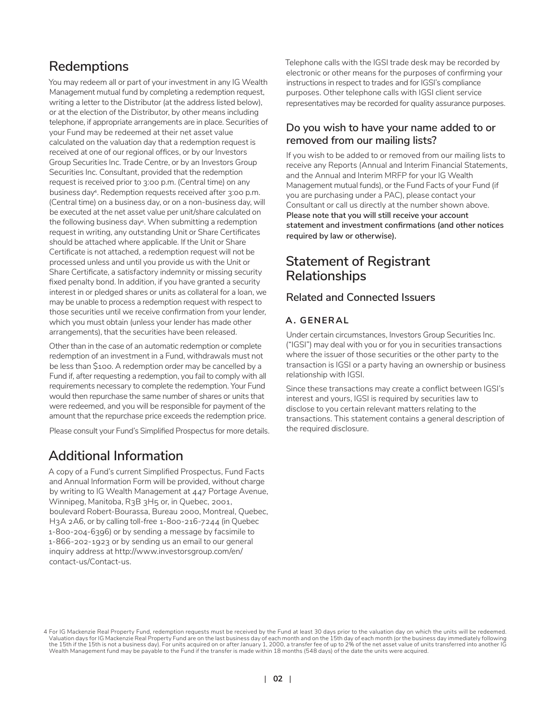### **Redemptions**

You may redeem all or part of your investment in any IG Wealth Management mutual fund by completing a redemption request, writing a letter to the Distributor (at the address listed below), or at the election of the Distributor, by other means including telephone, if appropriate arrangements are in place. Securities of your Fund may be redeemed at their net asset value calculated on the valuation day that a redemption request is received at one of our regional offices, or by our Investors Group Securities Inc. Trade Centre, or by an Investors Group Securities Inc. Consultant, provided that the redemption request is received prior to 3:00 p.m. (Central time) on any business day4. Redemption requests received after 3:00 p.m. (Central time) on a business day, or on a non-business day, will be executed at the net asset value per unit/share calculated on the following business day4. When submitting a redemption request in writing, any outstanding Unit or Share Certificates should be attached where applicable. If the Unit or Share Certificate is not attached, a redemption request will not be processed unless and until you provide us with the Unit or Share Certificate, a satisfactory indemnity or missing security fixed penalty bond. In addition, if you have granted a security interest in or pledged shares or units as collateral for a loan, we may be unable to process a redemption request with respect to those securities until we receive confirmation from your lender, which you must obtain (unless your lender has made other arrangements), that the securities have been released.

Other than in the case of an automatic redemption or complete redemption of an investment in a Fund, withdrawals must not be less than \$100. A redemption order may be cancelled by a Fund if, after requesting a redemption, you fail to comply with all requirements necessary to complete the redemption. Your Fund would then repurchase the same number of shares or units that were redeemed, and you will be responsible for payment of the amount that the repurchase price exceeds the redemption price.

Please consult your Fund's Simplified Prospectus for more details.

### **Additional Information**

A copy of a Fund's current Simplified Prospectus, Fund Facts and Annual Information Form will be provided, without charge by writing to IG Wealth Management at 447 Portage Avenue, Winnipeg, Manitoba, R3B 3H5 or, in Quebec, 2001, boulevard Robert-Bourassa, Bureau 2000, Montreal, Quebec, H3A 2A6, or by calling toll-free 1-800-216-7244 (in Quebec 1-800-204-6396) or by sending a message by facsimile to 1-866-202-1923 or by sending us an email to our general inquiry address at http://www.investorsgroup.com/en/ contact-us/Contact-us.

Telephone calls with the IGSI trade desk may be recorded by electronic or other means for the purposes of confirming your instructions in respect to trades and for IGSI's compliance purposes. Other telephone calls with IGSI client service representatives may be recorded for quality assurance purposes.

#### **Do you wish to have your name added to or removed from our mailing lists?**

If you wish to be added to or removed from our mailing lists to receive any Reports (Annual and Interim Financial Statements, and the Annual and Interim MRFP for your IG Wealth Management mutual funds), or the Fund Facts of your Fund (if you are purchasing under a PAC), please contact your Consultant or call us directly at the number shown above. **Please note that you will still receive your account statement and investment confirmations (and other notices required by law or otherwise).**

### **Statement of Registrant Relationships**

#### **Related and Connected Issuers**

#### **A. GENERAL**

Under certain circumstances, Investors Group Securities Inc. ("IGSI") may deal with you or for you in securities transactions where the issuer of those securities or the other party to the transaction is IGSI or a party having an ownership or business relationship with IGSI.

Since these transactions may create a conflict between IGSI's interest and yours, IGSI is required by securities law to disclose to you certain relevant matters relating to the transactions. This statement contains a general description of the required disclosure.

<sup>.4</sup> For IG Mackenzie Real Property Fund, redemption requests must be received by the Fund at least 30 days prior to the valuation day on which the units will be redeemed.<br>Valuation days for Unitably the 15th of the last bus Wealth Management fund may be payable to the Fund if the transfer is made within 18 months (548 days) of the date the units were acquired.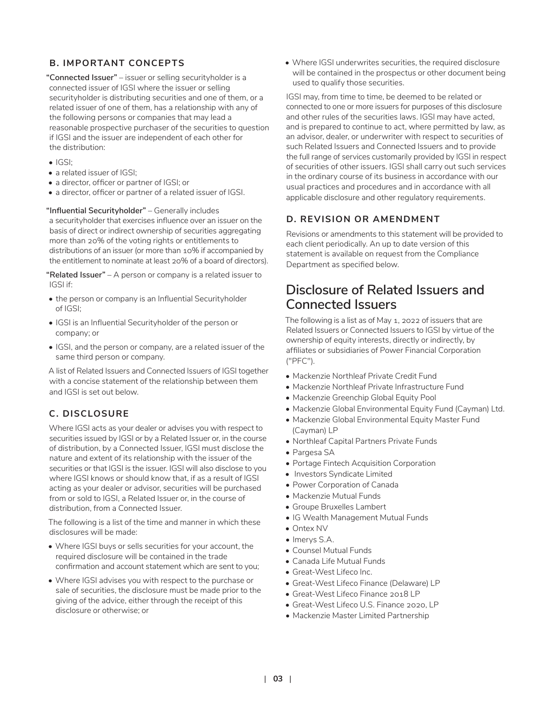#### **B. IMPORTANT CONCEPTS**

**"Connected Issuer"** – issuer or selling securityholder is a connected issuer of IGSI where the issuer or selling securityholder is distributing securities and one of them, or a related issuer of one of them, has a relationship with any of the following persons or companies that may lead a reasonable prospective purchaser of the securities to question if IGSI and the issuer are independent of each other for the distribution:

- IGSI;
- a related issuer of IGSI:
- a director, officer or partner of IGSI; or
- a director, officer or partner of a related issuer of IGSI.

#### **"Influential Securityholder"** – Generally includes

a securityholder that exercises influence over an issuer on the basis of direct or indirect ownership of securities aggregating more than 20% of the voting rights or entitlements to distributions of an issuer (or more than 10% if accompanied by the entitlement to nominate at least 20% of a board of directors).

**"Related Issuer"** – A person or company is a related issuer to IGSI if:

- the person or company is an Influential Securityholder of IGSI;
- IGSI is an Influential Securityholder of the person or company; or
- IGSI, and the person or company, are a related issuer of the same third person or company.

A list of Related Issuers and Connected Issuers of IGSI together with a concise statement of the relationship between them and IGSI is set out below.

#### **C. DISCLOSURE**

Where IGSI acts as your dealer or advises you with respect to securities issued by IGSI or by a Related Issuer or, in the course of distribution, by a Connected Issuer, IGSI must disclose the nature and extent of its relationship with the issuer of the securities or that IGSI is the issuer. IGSI will also disclose to you where IGSI knows or should know that, if as a result of IGSI acting as your dealer or advisor, securities will be purchased from or sold to IGSI, a Related Issuer or, in the course of distribution, from a Connected Issuer.

The following is a list of the time and manner in which these disclosures will be made:

- Where IGSI buys or sells securities for your account, the required disclosure will be contained in the trade confirmation and account statement which are sent to you;
- Where IGSI advises you with respect to the purchase or sale of securities, the disclosure must be made prior to the giving of the advice, either through the receipt of this disclosure or otherwise; or

• Where IGSI underwrites securities, the required disclosure will be contained in the prospectus or other document being used to qualify those securities.

IGSI may, from time to time, be deemed to be related or connected to one or more issuers for purposes of this disclosure and other rules of the securities laws. IGSI may have acted, and is prepared to continue to act, where permitted by law, as an advisor, dealer, or underwriter with respect to securities of such Related Issuers and Connected Issuers and to provide the full range of services customarily provided by IGSI in respect of securities of other issuers. IGSI shall carry out such services in the ordinary course of its business in accordance with our usual practices and procedures and in accordance with all applicable disclosure and other regulatory requirements.

#### **D. REVISION OR AMENDMENT**

Revisions or amendments to this statement will be provided to each client periodically. An up to date version of this statement is available on request from the Compliance Department as specified below.

### **Disclosure of Related Issuers and Connected Issuers**

The following is a list as of May 1, 2022 of issuers that are Related Issuers or Connected Issuers to IGSI by virtue of the ownership of equity interests, directly or indirectly, by affiliates or subsidiaries of Power Financial Corporation ("PFC").

- Mackenzie Northleaf Private Credit Fund
- Mackenzie Northleaf Private Infrastructure Fund
- Mackenzie Greenchip Global Equity Pool
- Mackenzie Global Environmental Equity Fund (Cayman) Ltd.
- Mackenzie Global Environmental Equity Master Fund (Cayman) LP
- Northleaf Capital Partners Private Funds
- Pargesa SA
- Portage Fintech Acquisition Corporation
- Investors Syndicate Limited
- Power Corporation of Canada
- Mackenzie Mutual Funds
- Groupe Bruxelles Lambert
- IG Wealth Management Mutual Funds
- Ontex NV
- Imerys S.A.
- Counsel Mutual Funds
- Canada Life Mutual Funds
- Great-West Lifeco Inc.
- Great-West Lifeco Finance (Delaware) LP
- Great-West Lifeco Finance 2018 LP
- Great-West Lifeco U.S. Finance 2020, LP
- Mackenzie Master Limited Partnership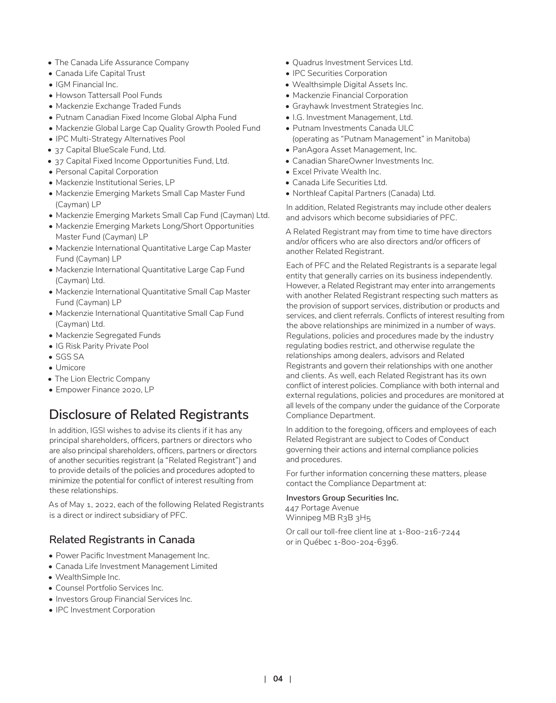- The Canada Life Assurance Company
- Canada Life Capital Trust
- IGM Financial Inc.
- Howson Tattersall Pool Funds
- Mackenzie Exchange Traded Funds
- Putnam Canadian Fixed Income Global Alpha Fund
- Mackenzie Global Large Cap Quality Growth Pooled Fund
- IPC Multi-Strategy Alternatives Pool
- 37 Capital BlueScale Fund, Ltd.
- 37 Capital Fixed Income Opportunities Fund, Ltd.
- Personal Capital Corporation
- Mackenzie Institutional Series, LP
- Mackenzie Emerging Markets Small Cap Master Fund (Cayman) LP
- Mackenzie Emerging Markets Small Cap Fund (Cayman) Ltd.
- Mackenzie Emerging Markets Long/Short Opportunities Master Fund (Cayman) LP
- Mackenzie International Quantitative Large Cap Master Fund (Cayman) LP
- Mackenzie International Quantitative Large Cap Fund (Cayman) Ltd.
- Mackenzie International Quantitative Small Cap Master Fund (Cayman) LP
- Mackenzie International Quantitative Small Cap Fund (Cayman) Ltd.
- Mackenzie Segregated Funds
- IG Risk Parity Private Pool
- SGS SA
- Umicore
- The Lion Electric Company
- Empower Finance 2020, LP

# **Disclosure of Related Registrants**

In addition, IGSI wishes to advise its clients if it has any principal shareholders, officers, partners or directors who are also principal shareholders, officers, partners or directors of another securities registrant (a "Related Registrant") and to provide details of the policies and procedures adopted to minimize the potential for conflict of interest resulting from these relationships.

As of May 1, 2022, each of the following Related Registrants is a direct or indirect subsidiary of PFC.

### **Related Registrants in Canada**

- Power Pacific Investment Management Inc.
- Canada Life Investment Management Limited
- WealthSimple Inc.
- Counsel Portfolio Services Inc.
- Investors Group Financial Services Inc.
- IPC Investment Corporation
- Quadrus Investment Services Ltd.
- IPC Securities Corporation
- Wealthsimple Digital Assets Inc.
- Mackenzie Financial Corporation
- Grayhawk Investment Strategies Inc.
- I.G. Investment Management, Ltd.
- Putnam Investments Canada ULC (operating as "Putnam Management" in Manitoba)
- PanAgora Asset Management, Inc.
- Canadian ShareOwner Investments Inc.
- Excel Private Wealth Inc.
- Canada Life Securities Ltd.
- Northleaf Capital Partners (Canada) Ltd.

In addition, Related Registrants may include other dealers and advisors which become subsidiaries of PFC.

A Related Registrant may from time to time have directors and/or officers who are also directors and/or officers of another Related Registrant.

Each of PFC and the Related Registrants is a separate legal entity that generally carries on its business independently. However, a Related Registrant may enter into arrangements with another Related Registrant respecting such matters as the provision of support services, distribution or products and services, and client referrals. Conflicts of interest resulting from the above relationships are minimized in a number of ways. Regulations, policies and procedures made by the industry regulating bodies restrict, and otherwise regulate the relationships among dealers, advisors and Related Registrants and govern their relationships with one another and clients. As well, each Related Registrant has its own conflict of interest policies. Compliance with both internal and external regulations, policies and procedures are monitored at all levels of the company under the guidance of the Corporate Compliance Department.

In addition to the foregoing, officers and employees of each Related Registrant are subject to Codes of Conduct governing their actions and internal compliance policies and procedures.

For further information concerning these matters, please contact the Compliance Department at:

**Investors Group Securities Inc.**

447 Portage Avenue Winnipeg MB R3B 3H5

Or call our toll-free client line at 1-800-216-7244 or in Québec 1-800-204-6396.